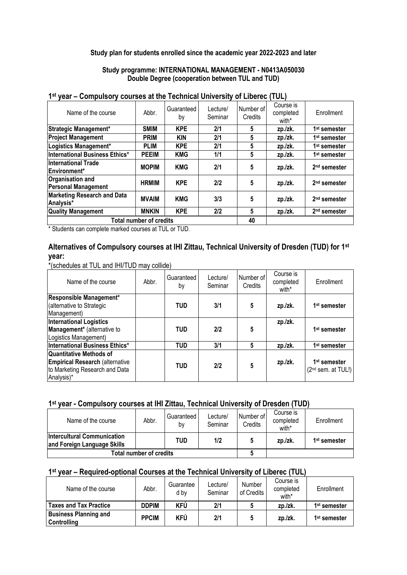### **Study plan for students enrolled since the academic year 2022-2023 and later**

**Study programme: INTERNATIONAL MANAGEMENT - N0413A050030 Double Degree (cooperation between TUL and TUD)**

| <b>vvu</b><br><b>OUTSPARTS AND AN ARTICLE OF A SERVICE AND A SERVICE I</b> |                                |                  |                     |                      |                                 |                          |
|----------------------------------------------------------------------------|--------------------------------|------------------|---------------------|----------------------|---------------------------------|--------------------------|
| Name of the course                                                         | Abbr.                          | Guaranteed<br>by | Lecture/<br>Seminar | Number of<br>Credits | Course is<br>completed<br>with* | Enrollment               |
| Strategic Management*                                                      | <b>SMIM</b>                    | <b>KPE</b>       | 2/1                 | 5                    | zp./zk.                         | 1 <sup>st</sup> semester |
| <b>Project Management</b>                                                  | <b>PRIM</b>                    | <b>KIN</b>       | 2/1                 | 5                    | zp./zk.                         | 1 <sup>st</sup> semester |
| Logistics Management*                                                      | <b>PLIM</b>                    | <b>KPE</b>       | 2/1                 | 5                    | zp./zk.                         | 1 <sup>st</sup> semester |
| <b>International Business Ethics*</b>                                      | <b>PEEIM</b>                   | <b>KMG</b>       | 1/1                 | 5                    | zp./zk.                         | 1 <sup>st</sup> semester |
| <b>International Trade</b><br>Environment <sup>*</sup>                     | <b>MOPIM</b>                   | <b>KMG</b>       | 2/1                 | 5                    | zp./zk.                         | 2 <sup>nd</sup> semester |
| Organisation and<br><b>Personal Management</b>                             | <b>HRMIM</b>                   | <b>KPE</b>       | 2/2                 | 5                    | zp./zk.                         | 2 <sup>nd</sup> semester |
| <b>Marketing Research and Data</b><br>Analysis*                            | <b>MVAIM</b>                   | <b>KMG</b>       | 3/3                 | 5                    | zp./zk.                         | 2 <sup>nd</sup> semester |
| <b>Quality Management</b>                                                  | <b>MNKIN</b>                   | <b>KPE</b>       | 2/2                 | $5\phantom{.0}$      | zp./zk.                         | 2 <sup>nd</sup> semester |
|                                                                            | <b>Total number of credits</b> |                  |                     | 40                   |                                 |                          |
|                                                                            |                                |                  |                     |                      |                                 |                          |

### **1 st year – Compulsory courses at the Technical University of Liberec (TUL)**

Students can complete marked courses at TUL or TUD.

# **Alternatives of Compulsory courses at IHI Zittau, Technical University of Dresden (TUD) for 1st year:**

\*(schedules at TUL and IHI/TUD may collide)

| Name of the course                                                                                                       | Abbr. | Guaranteed<br>by | Lecture/<br>Seminar | Number of<br>Credits | Course is<br>completed<br>with* | Enrollment                                       |
|--------------------------------------------------------------------------------------------------------------------------|-------|------------------|---------------------|----------------------|---------------------------------|--------------------------------------------------|
| Responsible Management*<br>(alternative to Strategic<br>Management)                                                      |       | <b>TUD</b>       | 3/1                 | 5                    | zp./zk.                         | 1 <sup>st</sup> semester                         |
| <b>International Logistics</b><br>Management* (alternative to<br>Logistics Management)                                   |       | <b>TUD</b>       | 2/2                 | 5                    | zp./zk.                         | 1 <sup>st</sup> semester                         |
| International Business Ethics*                                                                                           |       | <b>TUD</b>       | 3/1                 | 5                    | zp./zk.                         | 1 <sup>st</sup> semester                         |
| <b>Quantitative Methods of</b><br><b>Empirical Research (alternative</b><br>to Marketing Research and Data<br>Analysis)* |       | <b>TUD</b>       | 2/2                 | 5                    | zp./zk.                         | 1 <sup>st</sup> semester<br>$(2nd$ sem. at TUL!) |

### **1 st year - Compulsory courses at IHI Zittau, Technical University of Dresden (TUD)**

| Name of the course                                                | Abbr. | Guaranteed<br>b٧ | Lecture/<br>Seminar | Number of<br>Credits | Course is<br>completed<br>with* | Enrollment               |
|-------------------------------------------------------------------|-------|------------------|---------------------|----------------------|---------------------------------|--------------------------|
| <b>Intercultural Communication</b><br>and Foreign Language Skills |       | <b>TUD</b>       | 1/2                 | 5                    | zp./zk.                         | 1 <sup>st</sup> semester |
| Total number of credits                                           |       |                  |                     |                      |                                 |                          |

### **1 st year – Required-optional Courses at the Technical University of Liberec (TUL)**

| Name of the course            | Abbr.        | Guarantee<br>d by | Lecture/<br>Seminar | Number<br>of Credits | Course is<br>completed<br>with* | Enrollment               |
|-------------------------------|--------------|-------------------|---------------------|----------------------|---------------------------------|--------------------------|
| <b>Taxes and Tax Practice</b> | <b>DDPIM</b> | KFÚ               | 2/1                 |                      | zp./zk.                         | 1 <sup>st</sup> semester |
| <b>Business Planning and</b>  | <b>PPCIM</b> | KFÚ               | 2/1                 |                      | zp./zk.                         | 1 <sup>st</sup> semester |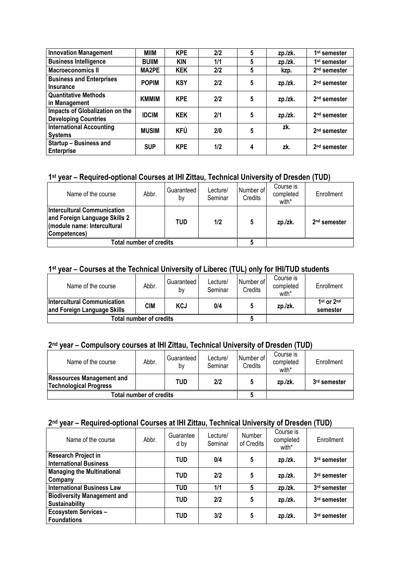| <b>Innovation Management</b>                                   | MIIM         | <b>KPE</b> | 2/2 | 5 | zp./zk. | 1 <sup>st</sup> semester |
|----------------------------------------------------------------|--------------|------------|-----|---|---------|--------------------------|
| <b>Business Intelligence</b>                                   | <b>BUIIM</b> | <b>KIN</b> | 1/1 | 5 | zp./zk. | 1 <sup>st</sup> semester |
| <b>Macroeconomics II</b>                                       | MA2PE        | <b>KEK</b> | 2/2 | 5 | kzp.    | 2 <sup>nd</sup> semester |
| <b>Business and Enterprises</b><br><b>Insurance</b>            | <b>POPIM</b> | <b>KSY</b> | 2/2 | 5 | zp./zk. | 2 <sup>nd</sup> semester |
| <b>Quantitative Methods</b><br>in Management                   | <b>KMMIM</b> | <b>KPE</b> | 2/2 | 5 | zp./zk. | 2 <sup>nd</sup> semester |
| Impacts of Globalization on the<br><b>Developing Countries</b> | <b>IDCIM</b> | <b>KEK</b> | 2/1 | 5 | zp./zk. | 2 <sup>nd</sup> semester |
| <b>International Accounting</b><br><b>Systems</b>              | <b>MUSIM</b> | <b>KFÚ</b> | 2/0 | 5 | zk.     | 2 <sup>nd</sup> semester |
| <b>Startup - Business and</b><br><b>Enterprise</b>             | <b>SUP</b>   | <b>KPE</b> | 1/2 | 4 | zk.     | 2 <sup>nd</sup> semester |

# **1 st year – Required-optional Courses at IHI Zittau, Technical University of Dresden (TUD)**

| Name of the course                                                                                                 | Abbr. | Guaranteed<br>b٧ | Lecture/<br>Seminar | Number of<br>Credits | Course is<br>completed<br>with* | Enrollment               |
|--------------------------------------------------------------------------------------------------------------------|-------|------------------|---------------------|----------------------|---------------------------------|--------------------------|
| <b>Intercultural Communication</b><br>and Foreign Language Skills 2<br>(module name: Intercultural<br>Competences) |       | <b>TUD</b>       | 1/2                 | 5                    | zp./zk.                         | 2 <sup>nd</sup> semester |
| <b>Total number of credits</b>                                                                                     |       |                  |                     |                      |                                 |                          |

## **1 st year – Courses at the Technical University of Liberec (TUL) only for IHI/TUD students**

| Name of the course                                                | Abbr.                          | Guaranteed<br>b٧ | Lecture/<br>Seminar | Number of<br>Credits | Course is<br>completed<br>with* | Enrollment             |
|-------------------------------------------------------------------|--------------------------------|------------------|---------------------|----------------------|---------------------------------|------------------------|
| <b>Intercultural Communication</b><br>and Foreign Language Skills | <b>CIM</b>                     | <b>KCJ</b>       | 0/4                 | 5                    | zp./zk.                         | 1st or 2nd<br>semester |
|                                                                   | <b>Total number of credits</b> |                  |                     |                      |                                 |                        |

# **2 nd year – Compulsory courses at IHI Zittau, Technical University of Dresden (TUD)**

| Name of the course                                                | Abbr. | Guaranteed<br>bv | Lecture/<br>Seminar | Number of<br>Credits | Course is<br>completed<br>with* | Enrollment   |
|-------------------------------------------------------------------|-------|------------------|---------------------|----------------------|---------------------------------|--------------|
| <b>Ressources Management and</b><br><b>Technological Progress</b> |       | <b>TUD</b>       | 2/2                 |                      | zp./zk.                         | 3rd semester |
| <b>Total number of credits</b>                                    |       |                  |                     |                      |                                 |              |

#### **2 nd year – Required-optional Courses at IHI Zittau, Technical University of Dresden (TUD)**

| Name of the course                                          | Abbr. | Guarantee<br>d by | Lecture/<br>Seminar | Number<br>of Credits | Course is<br>completed<br>with* | Enrollment   |
|-------------------------------------------------------------|-------|-------------------|---------------------|----------------------|---------------------------------|--------------|
| <b>Research Project in</b><br><b>International Business</b> |       | <b>TUD</b>        | 0/4                 | 5                    | zp./zk.                         | 3rd semester |
| <b>Managing the Multinational</b><br>Company                |       | <b>TUD</b>        | 2/2                 | 5                    | zp./zk.                         | 3rd semester |
| <b>International Business Law</b>                           |       | <b>TUD</b>        | 1/1                 | 5                    | zp./zk.                         | 3rd semester |
| <b>Biodiversity Management and</b><br><b>Sustainability</b> |       | <b>TUD</b>        | 2/2                 | 5                    | zp./zk.                         | 3rd semester |
| <b>Ecosystem Services -</b><br><b>Foundations</b>           |       | <b>TUD</b>        | 3/2                 | 5                    | zp./zk.                         | 3rd semester |